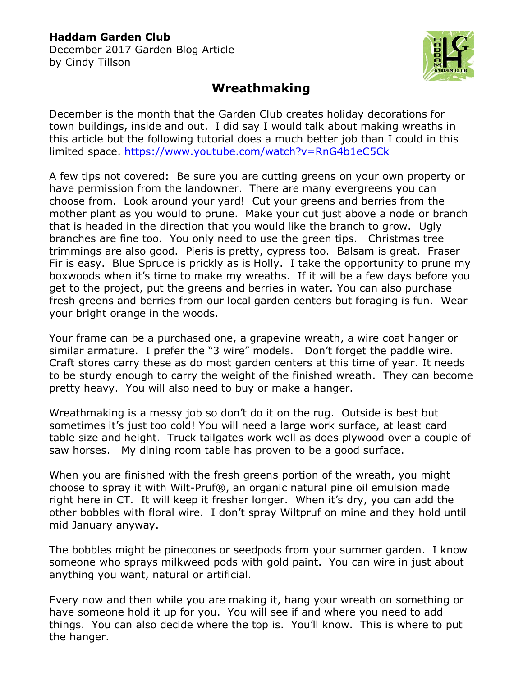## **Haddam Garden Club**

December 2017 Garden Blog Article by Cindy Tillson



## **Wreathmaking**

December is the month that the Garden Club creates holiday decorations for town buildings, inside and out. I did say I would talk about making wreaths in this article but the following tutorial does a much better job than I could in this limited space.<https://www.youtube.com/watch?v=RnG4b1eC5Ck>

A few tips not covered: Be sure you are cutting greens on your own property or have permission from the landowner. There are many evergreens you can choose from. Look around your yard! Cut your greens and berries from the mother plant as you would to prune. Make your cut just above a node or branch that is headed in the direction that you would like the branch to grow. Ugly branches are fine too. You only need to use the green tips. Christmas tree trimmings are also good. Pieris is pretty, cypress too. Balsam is great. Fraser Fir is easy. Blue Spruce is prickly as is Holly. I take the opportunity to prune my boxwoods when it's time to make my wreaths. If it will be a few days before you get to the project, put the greens and berries in water. You can also purchase fresh greens and berries from our local garden centers but foraging is fun. Wear your bright orange in the woods.

Your frame can be a purchased one, a grapevine wreath, a wire coat hanger or similar armature. I prefer the "3 wire" models. Don't forget the paddle wire. Craft stores carry these as do most garden centers at this time of year. It needs to be sturdy enough to carry the weight of the finished wreath. They can become pretty heavy. You will also need to buy or make a hanger.

Wreathmaking is a messy job so don't do it on the rug. Outside is best but sometimes it's just too cold! You will need a large work surface, at least card table size and height. Truck tailgates work well as does plywood over a couple of saw horses. My dining room table has proven to be a good surface.

When you are finished with the fresh greens portion of the wreath, you might choose to spray it with Wilt-Pruf®, an organic natural pine oil emulsion made right here in CT. It will keep it fresher longer. When it's dry, you can add the other bobbles with floral wire. I don't spray Wiltpruf on mine and they hold until mid January anyway.

The bobbles might be pinecones or seedpods from your summer garden. I know someone who sprays milkweed pods with gold paint. You can wire in just about anything you want, natural or artificial.

Every now and then while you are making it, hang your wreath on something or have someone hold it up for you. You will see if and where you need to add things. You can also decide where the top is. You'll know. This is where to put the hanger.